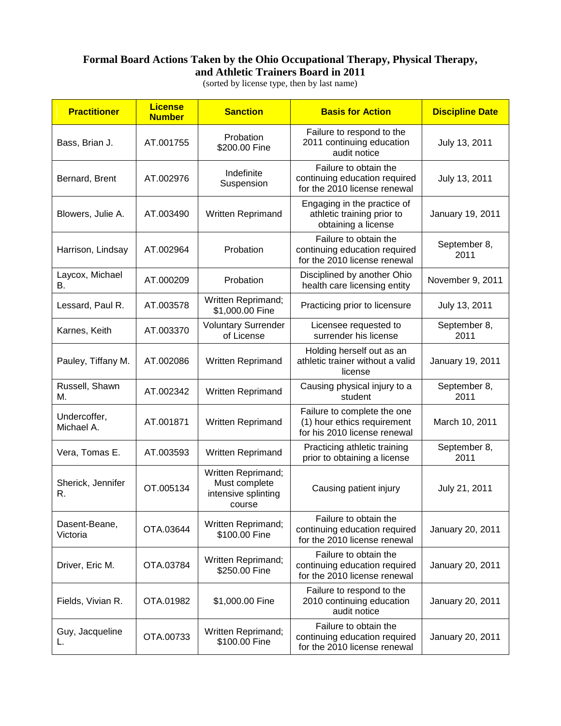## **Formal Board Actions Taken by the Ohio Occupational Therapy, Physical Therapy, and Athletic Trainers Board in 2011**

(sorted by license type, then by last name)

| <b>Practitioner</b>        | <b>License</b><br><b>Number</b> | <b>Sanction</b>                                                      | <b>Basis for Action</b>                                                                    | <b>Discipline Date</b> |
|----------------------------|---------------------------------|----------------------------------------------------------------------|--------------------------------------------------------------------------------------------|------------------------|
| Bass, Brian J.             | AT.001755                       | Probation<br>\$200.00 Fine                                           | Failure to respond to the<br>2011 continuing education<br>audit notice                     | July 13, 2011          |
| Bernard, Brent             | AT.002976                       | Indefinite<br>Suspension                                             | Failure to obtain the<br>continuing education required<br>for the 2010 license renewal     | July 13, 2011          |
| Blowers, Julie A.          | AT.003490                       | <b>Written Reprimand</b>                                             | Engaging in the practice of<br>athletic training prior to<br>obtaining a license           | January 19, 2011       |
| Harrison, Lindsay          | AT.002964                       | Probation                                                            | Failure to obtain the<br>continuing education required<br>for the 2010 license renewal     | September 8,<br>2011   |
| Laycox, Michael<br>В.      | AT.000209                       | Probation                                                            | Disciplined by another Ohio<br>health care licensing entity                                | November 9, 2011       |
| Lessard, Paul R.           | AT.003578                       | Written Reprimand;<br>\$1,000.00 Fine                                | Practicing prior to licensure                                                              | July 13, 2011          |
| Karnes, Keith              | AT.003370                       | <b>Voluntary Surrender</b><br>of License                             | Licensee requested to<br>surrender his license                                             | September 8,<br>2011   |
| Pauley, Tiffany M.         | AT.002086                       | Written Reprimand                                                    | Holding herself out as an<br>athletic trainer without a valid<br>license                   | January 19, 2011       |
| Russell, Shawn<br>М.       | AT.002342                       | Written Reprimand                                                    | Causing physical injury to a<br>student                                                    | September 8,<br>2011   |
| Undercoffer,<br>Michael A. | AT.001871                       | Written Reprimand                                                    | Failure to complete the one<br>(1) hour ethics requirement<br>for his 2010 license renewal | March 10, 2011         |
| Vera, Tomas E.             | AT.003593                       | Written Reprimand                                                    | Practicing athletic training<br>prior to obtaining a license                               | September 8,<br>2011   |
| Sherick, Jennifer<br>R.    | OT.005134                       | Written Reprimand;<br>Must complete<br>intensive splinting<br>course | Causing patient injury                                                                     | July 21, 2011          |
| Dasent-Beane,<br>Victoria  | OTA.03644                       | Written Reprimand;<br>\$100.00 Fine                                  | Failure to obtain the<br>continuing education required<br>for the 2010 license renewal     | January 20, 2011       |
| Driver, Eric M.            | OTA.03784                       | Written Reprimand;<br>\$250.00 Fine                                  | Failure to obtain the<br>continuing education required<br>for the 2010 license renewal     | January 20, 2011       |
| Fields, Vivian R.          | OTA.01982                       | \$1,000.00 Fine                                                      | Failure to respond to the<br>2010 continuing education<br>audit notice                     | January 20, 2011       |
| Guy, Jacqueline<br>L.      | OTA.00733                       | Written Reprimand;<br>\$100.00 Fine                                  | Failure to obtain the<br>continuing education required<br>for the 2010 license renewal     | January 20, 2011       |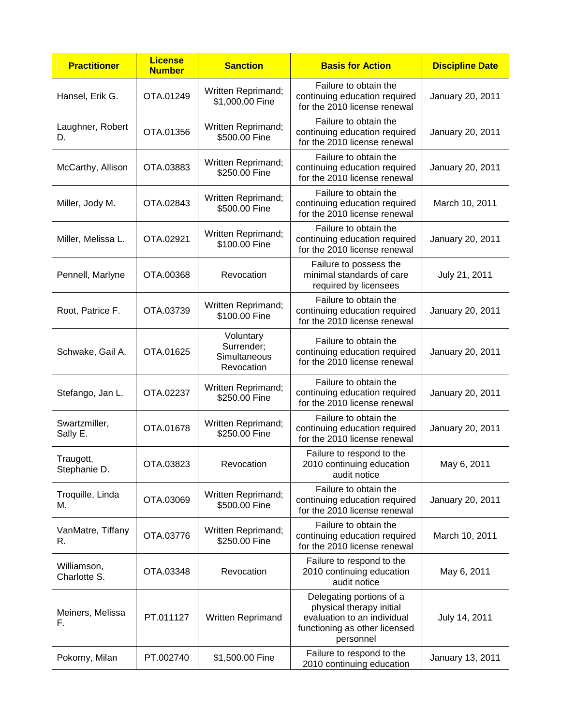| <b>Practitioner</b>         | <b>License</b><br><b>Number</b> | <b>Sanction</b>                                       | <b>Basis for Action</b>                                                                                                           | <b>Discipline Date</b> |
|-----------------------------|---------------------------------|-------------------------------------------------------|-----------------------------------------------------------------------------------------------------------------------------------|------------------------|
| Hansel, Erik G.             | OTA.01249                       | Written Reprimand;<br>\$1,000.00 Fine                 | Failure to obtain the<br>continuing education required<br>for the 2010 license renewal                                            | January 20, 2011       |
| Laughner, Robert<br>D.      | OTA.01356                       | Written Reprimand;<br>\$500.00 Fine                   | Failure to obtain the<br>continuing education required<br>for the 2010 license renewal                                            | January 20, 2011       |
| McCarthy, Allison           | OTA.03883                       | Written Reprimand;<br>\$250.00 Fine                   | Failure to obtain the<br>continuing education required<br>for the 2010 license renewal                                            | January 20, 2011       |
| Miller, Jody M.             | OTA.02843                       | Written Reprimand;<br>\$500.00 Fine                   | Failure to obtain the<br>continuing education required<br>for the 2010 license renewal                                            | March 10, 2011         |
| Miller, Melissa L.          | OTA.02921                       | Written Reprimand;<br>\$100.00 Fine                   | Failure to obtain the<br>continuing education required<br>for the 2010 license renewal                                            | January 20, 2011       |
| Pennell, Marlyne            | OTA.00368                       | Revocation                                            | Failure to possess the<br>minimal standards of care<br>required by licensees                                                      | July 21, 2011          |
| Root, Patrice F.            | OTA.03739                       | Written Reprimand;<br>\$100.00 Fine                   | Failure to obtain the<br>continuing education required<br>for the 2010 license renewal                                            | January 20, 2011       |
| Schwake, Gail A.            | OTA.01625                       | Voluntary<br>Surrender;<br>Simultaneous<br>Revocation | Failure to obtain the<br>continuing education required<br>for the 2010 license renewal                                            | January 20, 2011       |
| Stefango, Jan L.            | OTA.02237                       | Written Reprimand;<br>\$250.00 Fine                   | Failure to obtain the<br>continuing education required<br>for the 2010 license renewal                                            | January 20, 2011       |
| Swartzmiller,<br>Sally E.   | OTA.01678                       | Written Reprimand;<br>\$250.00 Fine                   | Failure to obtain the<br>continuing education required<br>for the 2010 license renewal                                            | January 20, 2011       |
| Traugott,<br>Stephanie D.   | OTA.03823                       | Revocation                                            | Failure to respond to the<br>2010 continuing education<br>audit notice                                                            | May 6, 2011            |
| Troquille, Linda<br>М.      | OTA.03069                       | Written Reprimand;<br>\$500.00 Fine                   | Failure to obtain the<br>continuing education required<br>for the 2010 license renewal                                            | January 20, 2011       |
| VanMatre, Tiffany<br>R.     | OTA.03776                       | Written Reprimand;<br>\$250.00 Fine                   | Failure to obtain the<br>continuing education required<br>for the 2010 license renewal                                            | March 10, 2011         |
| Williamson,<br>Charlotte S. | OTA.03348                       | Revocation                                            | Failure to respond to the<br>2010 continuing education<br>audit notice                                                            | May 6, 2011            |
| Meiners, Melissa<br>F.      | PT.011127                       | Written Reprimand                                     | Delegating portions of a<br>physical therapy initial<br>evaluation to an individual<br>functioning as other licensed<br>personnel | July 14, 2011          |
| Pokorny, Milan              | PT.002740                       | \$1,500.00 Fine                                       | Failure to respond to the<br>2010 continuing education                                                                            | January 13, 2011       |